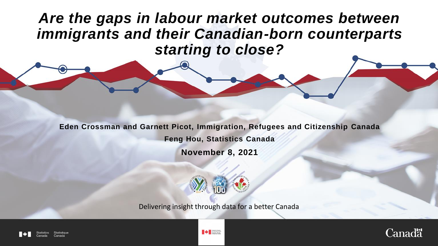*Are the gaps in labour market outcomes between immigrants and their Canadian-born counterparts starting to close?*

**Eden Crossman and Garnett Picot, Immigration, Refugees and Citizenship Canada**

**Feng Hou, Statistics Canada**

**November 8, 2021** 



Delivering insight through data for a better Canada



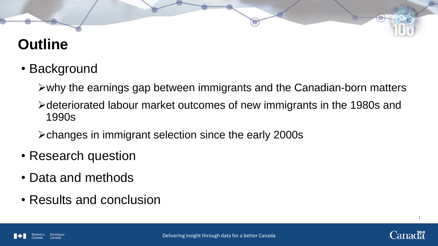# **Outline**

• Background

 $\triangleright$  why the earnings gap between immigrants and the Canadian-born matters

deteriorated labour market outcomes of new immigrants in the 1980s and 1990s

changes in immigrant selection since the early 2000s

- Research question
- Data and methods
- Results and conclusion

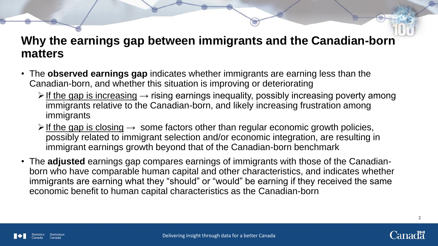### **Why the earnings gap between immigrants and the Canadian-born matters**

- The **observed earnings gap** indicates whether immigrants are earning less than the Canadian-born, and whether this situation is improving or deteriorating
	- $\triangleright$  If the gap is increasing  $\rightarrow$  rising earnings inequality, possibly increasing poverty among immigrants relative to the Canadian-born, and likely increasing frustration among immigrants
	- $\triangleright$  If the gap is closing  $\rightarrow$  some factors other than regular economic growth policies, possibly related to immigrant selection and/or economic integration, are resulting in immigrant earnings growth beyond that of the Canadian-born benchmark
- The **adjusted** earnings gap compares earnings of immigrants with those of the Canadianborn who have comparable human capital and other characteristics, and indicates whether immigrants are earning what they "should" or "would" be earning if they received the same economic benefit to human capital characteristics as the Canadian-born



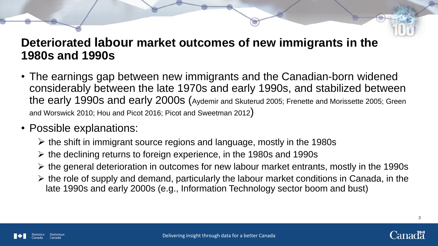### **Deteriorated labour market outcomes of new immigrants in the 1980s and 1990s**

- The earnings gap between new immigrants and the Canadian-born widened considerably between the late 1970s and early 1990s, and stabilized between the early 1990s and early 2000s (Aydemir and Skuterud 2005; Frenette and Morissette 2005; Green and Worswick 2010; Hou and Picot 2016; Picot and Sweetman <sup>2012</sup>)
- Possible explanations:
	- $\triangleright$  the shift in immigrant source regions and language, mostly in the 1980s
	- $\triangleright$  the declining returns to foreign experience, in the 1980s and 1990s
	- $\triangleright$  the general deterioration in outcomes for new labour market entrants, mostly in the 1990s
	- $\triangleright$  the role of supply and demand, particularly the labour market conditions in Canada, in the late 1990s and early 2000s (e.g., Information Technology sector boom and bust)



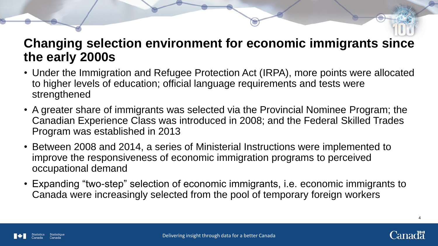### **Changing selection environment for economic immigrants since the early 2000s**

- Under the Immigration and Refugee Protection Act (IRPA), more points were allocated to higher levels of education; official language requirements and tests were strengthened
- A greater share of immigrants was selected via the Provincial Nominee Program; the Canadian Experience Class was introduced in 2008; and the Federal Skilled Trades Program was established in 2013
- Between 2008 and 2014, a series of Ministerial Instructions were implemented to improve the responsiveness of economic immigration programs to perceived occupational demand
- Expanding "two-step" selection of economic immigrants, i.e. economic immigrants to Canada were increasingly selected from the pool of temporary foreign workers

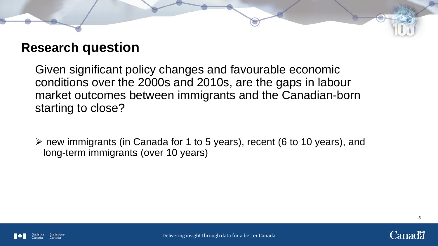### **Research question**

Given significant policy changes and favourable economic conditions over the 2000s and 2010s, are the gaps in labour market outcomes between immigrants and the Canadian-born starting to close?

 new immigrants (in Canada for 1 to 5 years), recent (6 to 10 years), and long-term immigrants (over 10 years)



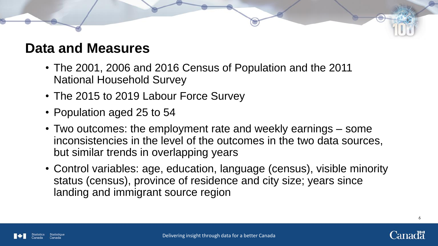### **Data and Measures**

- The 2001, 2006 and 2016 Census of Population and the 2011 National Household Survey
- The 2015 to 2019 Labour Force Survey
- Population aged 25 to 54
- Two outcomes: the employment rate and weekly earnings some inconsistencies in the level of the outcomes in the two data sources, but similar trends in overlapping years
- Control variables: age, education, language (census), visible minority status (census), province of residence and city size; years since landing and immigrant source region



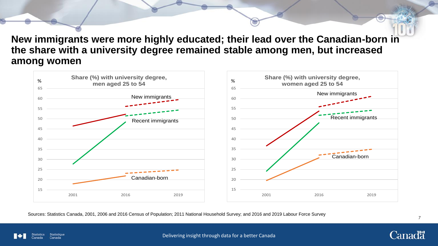**New immigrants were more highly educated; their lead over the Canadian-born in the share with a university degree remained stable among men, but increased among women**



Sources: Statistics Canada, 2001, 2006 and 2016 Census of Population; 2011 National Household Survey; and 2016 and 2019 Labour Force Survey

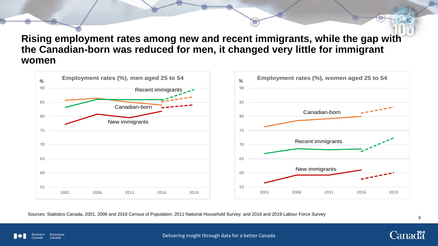**Rising employment rates among new and recent immigrants, while the gap with the Canadian-born was reduced for men, it changed very little for immigrant women**



Sources: Statistics Canada, 2001, 2006 and 2016 Census of Population; 2011 National Household Survey; and 2016 and 2019 Labour Force Survey

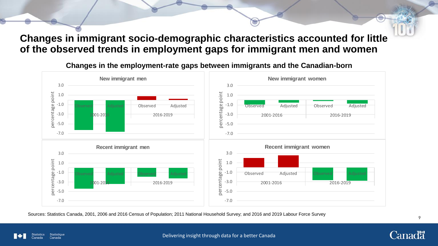#### **Changes in immigrant socio-demographic characteristics accounted for little of the observed trends in employment gaps for immigrant men and women**

**New immigrant men New immigrant women** 3.0 3.0 percentage point percentage point percentage point percentage point 1.0 1.0 -1.0 -1.0 Observed Adjusted Observed Adjusted Observed Adjusted -3.0 -3.0 2001-2016 2016-2019 2001-2016 2016-2019 -5.0 -5.0 -7.0 -7.0 **Recent immigrant men Recent immigrant women**3.0 3.0 percentage point percentage point percentage point 1.0 1.0 -1.0 -1.0 Observed Adjusted Observed Adjusted Observed Adjusted -3.0 -3.0 2001-2016 2016-2019 2001-2016 2016-2019 -5.0 -5.0 -7.0 -7.0

**Changes in the employment-rate gaps between immigrants and the Canadian-born**

Sources: Statistics Canada, 2001, 2006 and 2016 Census of Population; 2011 National Household Survey; and 2016 and 2019 Labour Force Survey



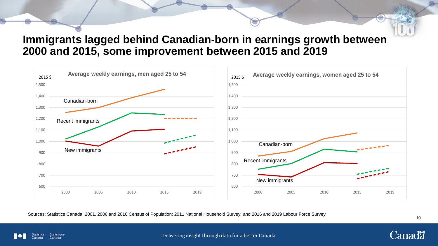#### **Immigrants lagged behind Canadian-born in earnings growth between 2000 and 2015, some improvement between 2015 and 2019**



Sources: Statistics Canada, 2001, 2006 and 2016 Census of Population; 2011 National Household Survey; and 2016 and 2019 Labour Force Survey



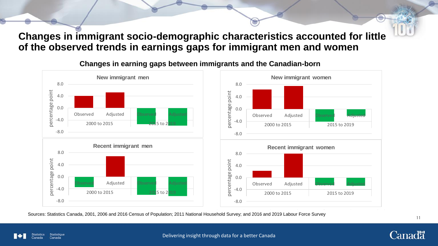#### **Changes in immigrant socio-demographic characteristics accounted for little of the observed trends in earnings gaps for immigrant men and women**



#### **Changes in earning gaps between immigrants and the Canadian-born**

Sources: Statistics Canada, 2001, 2006 and 2016 Census of Population; 2011 National Household Survey; and 2016 and 2019 Labour Force Survey



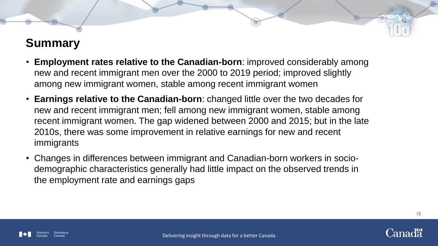### **Summary**

- **Employment rates relative to the Canadian-born**: improved considerably among new and recent immigrant men over the 2000 to 2019 period; improved slightly among new immigrant women, stable among recent immigrant women
- **Earnings relative to the Canadian-born**: changed little over the two decades for new and recent immigrant men; fell among new immigrant women, stable among recent immigrant women. The gap widened between 2000 and 2015; but in the late 2010s, there was some improvement in relative earnings for new and recent immigrants
- Changes in differences between immigrant and Canadian-born workers in sociodemographic characteristics generally had little impact on the observed trends in the employment rate and earnings gaps